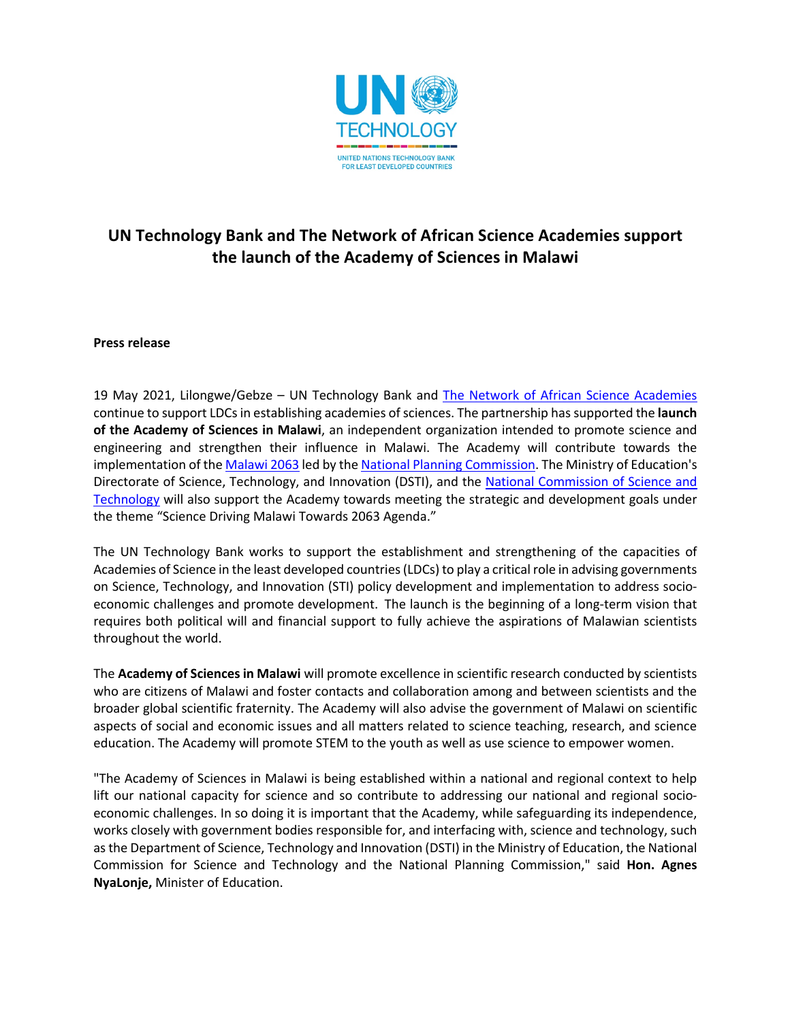

## **UN Technology Bank and The Network of African Science Academies support the launch of the Academy of Sciences in Malawi**

## **Press release**

19 May 2021, Lilongwe/Gebze - UN Technology Bank and The Network of African Science Academies continue to support LDCs in establishing academies of sciences. The partnership has supported the **launch of the Academy of Sciences in Malawi**, an independent organization intended to promote science and engineering and strengthen their influence in Malawi. The Academy will contribute towards the implementation of the Malawi 2063 led by the National Planning Commission. The Ministry of Education's Directorate of Science, Technology, and Innovation (DSTI), and the National Commission of Science and Technology will also support the Academy towards meeting the strategic and development goals under the theme "Science Driving Malawi Towards 2063 Agenda."

The UN Technology Bank works to support the establishment and strengthening of the capacities of Academies of Science in the least developed countries (LDCs) to play a critical role in advising governments on Science, Technology, and Innovation (STI) policy development and implementation to address socioeconomic challenges and promote development. The launch is the beginning of a long-term vision that requires both political will and financial support to fully achieve the aspirations of Malawian scientists throughout the world.

The **Academy of Sciences in Malawi** will promote excellence in scientific research conducted by scientists who are citizens of Malawi and foster contacts and collaboration among and between scientists and the broader global scientific fraternity. The Academy will also advise the government of Malawi on scientific aspects of social and economic issues and all matters related to science teaching, research, and science education. The Academy will promote STEM to the youth as well as use science to empower women.

"The Academy of Sciences in Malawi is being established within a national and regional context to help lift our national capacity for science and so contribute to addressing our national and regional socioeconomic challenges. In so doing it is important that the Academy, while safeguarding its independence, works closely with government bodies responsible for, and interfacing with, science and technology, such as the Department of Science, Technology and Innovation (DSTI) in the Ministry of Education, the National Commission for Science and Technology and the National Planning Commission," said **Hon. Agnes NyaLonje,** Minister of Education.